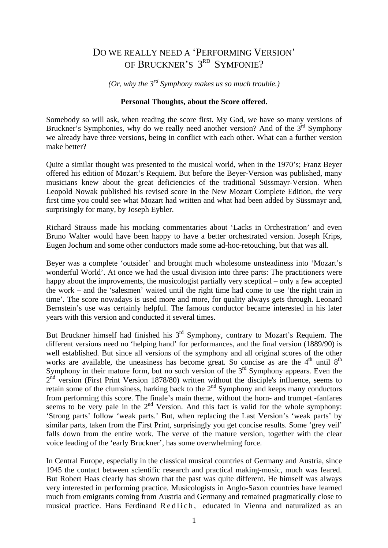## DO WE REALLY NEED A 'PERFORMING VERSION' OF BRUCKNER'S 3<sup>RD</sup> SYMFONIE?

*(Or, why the 3rd Symphony makes us so much trouble.)* 

## **Personal Thoughts, about the Score offered.**

Somebody so will ask, when reading the score first. My God, we have so many versions of Bruckner's Symphonies, why do we really need another version? And of the  $3<sup>rd</sup>$  Symphony we already have three versions, being in conflict with each other. What can a further version make better?

Quite a similar thought was presented to the musical world, when in the 1970's; Franz Beyer offered his edition of Mozart's Requiem. But before the Beyer-Version was published, many musicians knew about the great deficiencies of the traditional Süssmayr-Version. When Leopold Nowak published his revised score in the New Mozart Complete Edition, the very first time you could see what Mozart had written and what had been added by Süssmayr and, surprisingly for many, by Joseph Eybler.

Richard Strauss made his mocking commentaries about 'Lacks in Orchestration' and even Bruno Walter would have been happy to have a better orchestrated version. Joseph Krips, Eugen Jochum and some other conductors made some ad-hoc-retouching, but that was all.

Beyer was a complete 'outsider' and brought much wholesome unsteadiness into 'Mozart's wonderful World'. At once we had the usual division into three parts: The practitioners were happy about the improvements, the musicologist partially very sceptical – only a few accepted the work – and the 'salesmen' waited until the right time had come to use 'the right train in time'. The score nowadays is used more and more, for quality always gets through. Leonard Bernstein's use was certainly helpful. The famous conductor became interested in his later years with this version and conducted it several times.

But Bruckner himself had finished his  $3<sup>rd</sup>$  Symphony, contrary to Mozart's Requiem. The different versions need no 'helping hand' for performances, and the final version (1889/90) is well established. But since all versions of the symphony and all original scores of the other works are available, the uneasiness has become great. So concise as are the  $4<sup>th</sup>$  until  $8<sup>th</sup>$ Symphony in their mature form, but no such version of the  $3<sup>rd</sup>$  Symphony appears. Even the  $2<sup>nd</sup>$  version (First Print Version 1878/80) written without the disciple's influence, seems to retain some of the clumsiness, harking back to the  $2<sup>nd</sup>$  Symphony and keeps many conductors from performing this score. The finale's main theme, without the horn- and trumpet -fanfares seems to be very pale in the 2<sup>nd</sup> Version. And this fact is valid for the whole symphony: 'Strong parts' follow 'weak parts.' But, when replacing the Last Version's 'weak parts' by similar parts, taken from the First Print, surprisingly you get concise results. Some 'grey veil' falls down from the entire work. The verve of the mature version, together with the clear voice leading of the 'early Bruckner', has some overwhelming force.

In Central Europe, especially in the classical musical countries of Germany and Austria, since 1945 the contact between scientific research and practical making-music, much was feared. But Robert Haas clearly has shown that the past was quite different. He himself was always very interested in performing practice. Musicologists in Anglo-Saxon countries have learned much from emigrants coming from Austria and Germany and remained pragmatically close to musical practice. Hans Ferdinand Redlich, educated in Vienna and naturalized as an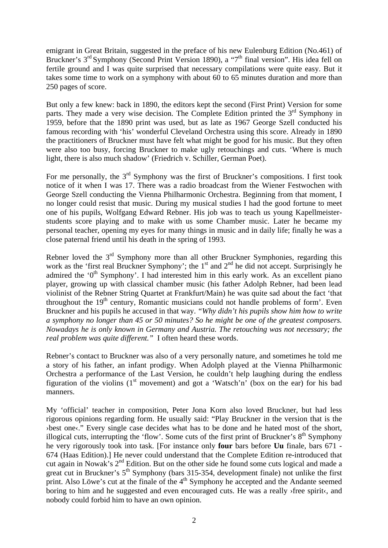emigrant in Great Britain, suggested in the preface of his new Eulenburg Edition (No.461) of Bruckner's 3<sup>rd</sup> Symphony (Second Print Version 1890), a "7<sup>th</sup> final version". His idea fell on fertile ground and I was quite surprised that necessary compilations were quite easy. But it takes some time to work on a symphony with about 60 to 65 minutes duration and more than 250 pages of score.

But only a few knew: back in 1890, the editors kept the second (First Print) Version for some parts. They made a very wise decision. The Complete Edition printed the  $3<sup>rd</sup>$  Symphony in 1959, before that the 1890 print was used, but as late as 1967 George Szell conducted his famous recording with 'his' wonderful Cleveland Orchestra using this score. Already in 1890 the practitioners of Bruckner must have felt what might be good for his music. But they often were also too busy, forcing Bruckner to make ugly retouchings and cuts. 'Where is much light, there is also much shadow' (Friedrich v. Schiller, German Poet).

For me personally, the  $3<sup>rd</sup>$  Symphony was the first of Bruckner's compositions. I first took notice of it when I was 17. There was a radio broadcast from the Wiener Festwochen with George Szell conducting the Vienna Philharmonic Orchestra. Beginning from that moment, I no longer could resist that music. During my musical studies I had the good fortune to meet one of his pupils, Wolfgang Edward Rebner. His job was to teach us young Kapellmeisterstudents score playing and to make with us some Chamber music. Later he became my personal teacher, opening my eyes for many things in music and in daily life; finally he was a close paternal friend until his death in the spring of 1993.

Rebner loved the  $3<sup>rd</sup>$  Symphony more than all other Bruckner Symphonies, regarding this work as the 'first real Bruckner Symphony'; the  $1<sup>st</sup>$  and  $2<sup>nd</sup>$  he did not accept. Surprisingly he admired the ' $0<sup>th</sup>$  Symphony'. I had interested him in this early work. As an excellent piano player, growing up with classical chamber music (his father Adolph Rebner, had been lead violinist of the Rebner String Quartet at Frankfurt/Main) he was quite sad about the fact 'that throughout the  $19<sup>th</sup>$  century, Romantic musicians could not handle problems of form'. Even Bruckner and his pupils he accused in that way. *"Why didn't his pupils show him how to write a symphony no longer than 45 or 50 minutes? So he might be one of the greatest composers. Nowadays he is only known in Germany and Austria. The retouching was not necessary; the real problem was quite different."* I often heard these words.

Rebner's contact to Bruckner was also of a very personally nature, and sometimes he told me a story of his father, an infant prodigy. When Adolph played at the Vienna Philharmonic Orchestra a performance of the Last Version, he couldn't help laughing during the endless figuration of the violins  $(1<sup>st</sup>$  movement) and got a 'Watsch'n' (box on the ear) for his bad manners.

My 'official' teacher in composition, Peter Jona Korn also loved Bruckner, but had less rigorous opinions regarding form. He usually said: "Play Bruckner in the version that is the ›best one‹." Every single case decides what has to be done and he hated most of the short, illogical cuts, interrupting the 'flow'. Some cuts of the first print of Bruckner's  $8<sup>th</sup>$  Symphony he very rigorously took into task. [For instance only **four** bars before **Uu** finale, bars 671 - 674 (Haas Edition).] He never could understand that the Complete Edition re-introduced that cut again in Nowak's 2<sup>nd</sup> Edition. But on the other side he found some cuts logical and made a great cut in Bruckner's  $5<sup>th</sup>$  Symphony (bars 315-354, development finale) not unlike the first print. Also Löwe's cut at the finale of the  $4<sup>th</sup>$  Symphony he accepted and the Andante seemed boring to him and he suggested and even encouraged cuts. He was a really >free spirit<, and nobody could forbid him to have an own opinion.